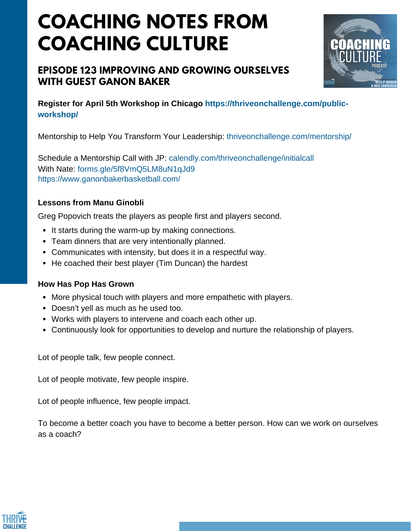# **COACHING NOTES FROM COACHING CULTURE**

### **EPISODE 123 IMPROVING AND GROWING OURSELVES WITH GUEST GANON BAKER**



**Register for April 5th Workshop in Chicago https://thriveonchallenge.com/publicworkshop/**

Mentorship to Help You Transform Your Leadership: thriveonchallenge.com/mentorship/

Schedule a Mentorship Call with JP: calendly.com/thriveonchallenge/initialcall With Nate: forms.gle/5f8VmO5LM8uN1qJd9 https://www.ganonbakerbasketball.com/

#### **Lessons from Manu Ginobli**

Greg Popovich treats the players as people first and players second.

- It starts during the warm-up by making connections.
- Team dinners that are very intentionally planned.
- Communicates with intensity, but does it in a respectful way.
- He coached their best player (Tim Duncan) the hardest

#### **How Has Pop Has Grown**

- More physical touch with players and more empathetic with players.
- Doesn't yell as much as he used too.
- Works with players to intervene and coach each other up.
- Continuously look for opportunities to develop and nurture the relationship of players.

Lot of people talk, few people connect.

Lot of people motivate, few people inspire.

Lot of people influence, few people impact.

To become a better coach you have to become a better person. How can we work on ourselves as a coach?